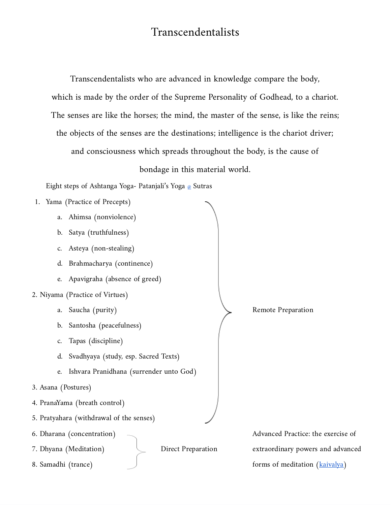## Transcendentalists

Transcendentalists who are advanced in knowledge compare the body, which is made by the order of the Supreme Personality of Godhead, to a chariot. The senses are like the horses; the mind, the master of the sense, is like the reins; the objects of the senses are the destinations; intelligence is the chariot driver; and consciousness which spreads throughout the body, is the cause of bondage in this material world.

Eight steps of Ashtanga Yoga- Patanjali's Yoga [@](https://en.wikipedia.org/wiki/Patanjali) Sutras

1. Yama (Practice of Precepts) a. Ahimsa (nonviolence) b. Satya (truthfulness) c. Asteya (non-stealing) d. Brahmacharya (continence) e. Apavigraha (absence of greed) 2. Niyama (Practice of Virtues) a. Saucha (purity) a. Saucha (purity) b. Santosha (peacefulness) c. Tapas (discipline) d. Svadhyaya (study, esp. Sacred Texts) e. Ishvara Pranidhana (surrender unto God) 3. Asana (Postures) 4. PranaYama (breath control) 5. Pratyahara (withdrawal of the senses) 6. Dharana (concentration)  $\sim$  Advanced Practice: the exercise of 7. Dhyana (Meditation) Direct Preparation extraordinary powers and advanced 8. Samadhi (trance) **forms** of meditation [\(kaivalya](https://en.wikipedia.org/wiki/Kaivalya))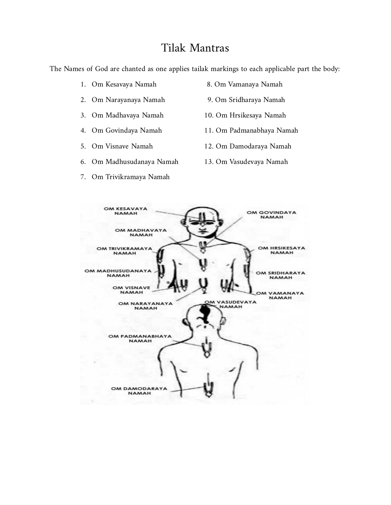## Tilak Mantras

The Names of God are chanted as one applies tailak markings to each applicable part the body:

- 
- 2. Om Narayanaya Namah 9. Om Sridharaya Namah
- 3. Om Madhavaya Namah 10. Om Hrsikesaya Namah
- 
- 
- 6. Om Madhusudanaya Namah 13. Om Vasudevaya Namah
- 7. Om Trivikramaya Namah
- 1. Om Kesavaya Namah 8. Om Vamanaya Namah
	-
	-
- 4. Om Govindaya Namah 11. Om Padmanabhaya Namah
- 5. Om Visnave Namah 12. Om Damodaraya Namah
	-

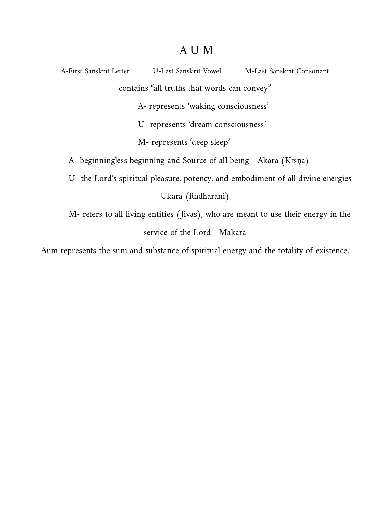## A U M

A-First Sanskrit Letter U-Last Sanskrit Vowel M-Last Sanskrit Consonant contains "all truths that words can convey" A- represents 'waking consciousness' U- represents 'dream consciousness' M- represents 'deep sleep' A- beginningless beginning and Source of all being - Akara (Kṛṣņa) U- the Lord's spiritual pleasure, potency, and embodiment of all divine energies - Ukara (Radharani) M- refers to all living entities (Jivas), who are meant to use their energy in the service of the Lord - Makara

Aum represents the sum and substance of spiritual energy and the totality of existence.